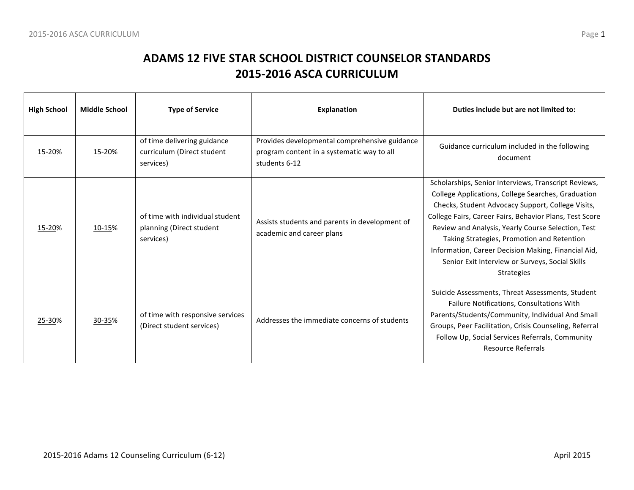| <b>High School</b> | <b>Middle School</b> | <b>Type of Service</b>                                                   | <b>Explanation</b>                                                                                           | Duties include but are not limited to:                                                                                                                                                                                                                                                                                                                                                                                                                        |
|--------------------|----------------------|--------------------------------------------------------------------------|--------------------------------------------------------------------------------------------------------------|---------------------------------------------------------------------------------------------------------------------------------------------------------------------------------------------------------------------------------------------------------------------------------------------------------------------------------------------------------------------------------------------------------------------------------------------------------------|
| 15-20%             | 15-20%               | of time delivering guidance<br>curriculum (Direct student<br>services)   | Provides developmental comprehensive guidance<br>program content in a systematic way to all<br>students 6-12 | Guidance curriculum included in the following<br>document                                                                                                                                                                                                                                                                                                                                                                                                     |
| 15-20%             | 10-15%               | of time with individual student<br>planning (Direct student<br>services) | Assists students and parents in development of<br>academic and career plans                                  | Scholarships, Senior Interviews, Transcript Reviews,<br>College Applications, College Searches, Graduation<br>Checks, Student Advocacy Support, College Visits,<br>College Fairs, Career Fairs, Behavior Plans, Test Score<br>Review and Analysis, Yearly Course Selection, Test<br>Taking Strategies, Promotion and Retention<br>Information, Career Decision Making, Financial Aid,<br>Senior Exit Interview or Surveys, Social Skills<br><b>Strategies</b> |
| 25-30%             | 30-35%               | of time with responsive services<br>(Direct student services)            | Addresses the immediate concerns of students                                                                 | Suicide Assessments, Threat Assessments, Student<br>Failure Notifications, Consultations With<br>Parents/Students/Community, Individual And Small<br>Groups, Peer Facilitation, Crisis Counseling, Referral<br>Follow Up, Social Services Referrals, Community<br><b>Resource Referrals</b>                                                                                                                                                                   |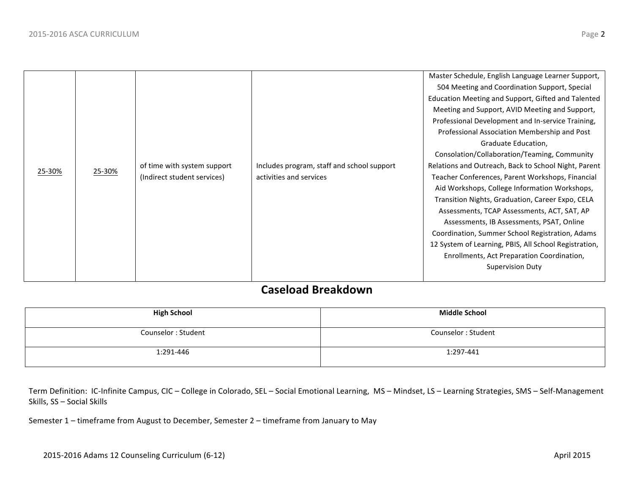### **Caseload Breakdown**

| <b>High School</b> | <b>Middle School</b> |
|--------------------|----------------------|
| Counselor: Student | Counselor: Student   |
| 1:291-446          | 1:297-441            |

Term Definition: IC-Infinite Campus, CIC – College in Colorado, SEL – Social Emotional Learning, MS – Mindset, LS – Learning Strategies, SMS – Self-Management Skills, SS - Social Skills

Semester 1 - timeframe from August to December, Semester 2 - timeframe from January to May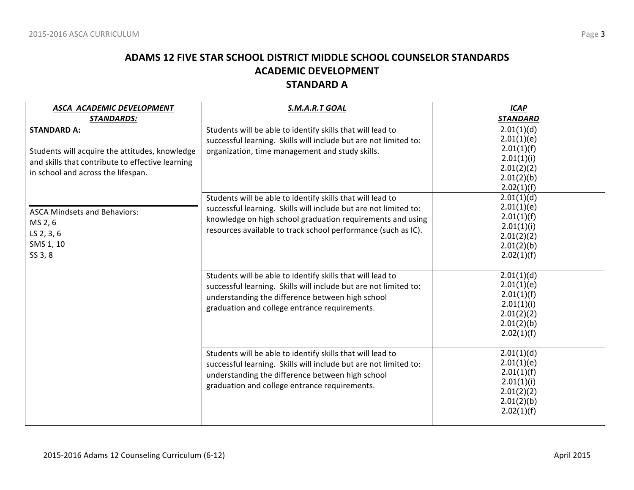### **ADAMS 12 FIVE STAR SCHOOL DISTRICT MIDDLE SCHOOL COUNSELOR STANDARDS ACADEMIC DEVELOPMENT STANDARD A**

| ASCA ACADEMIC DEVELOPMENT                                                                                                                                      | S.M.A.R.T GOAL                                                                                                                                                                                                                                                | <b>ICAP</b>                                                                                    |
|----------------------------------------------------------------------------------------------------------------------------------------------------------------|---------------------------------------------------------------------------------------------------------------------------------------------------------------------------------------------------------------------------------------------------------------|------------------------------------------------------------------------------------------------|
| <b>STANDARDS:</b>                                                                                                                                              |                                                                                                                                                                                                                                                               | <b>STANDARD</b>                                                                                |
| <b>STANDARD A:</b><br>Students will acquire the attitudes, knowledge<br>and skills that contribute to effective learning<br>in school and across the lifespan. | Students will be able to identify skills that will lead to<br>successful learning. Skills will include but are not limited to:<br>organization, time management and study skills.                                                                             | 2.01(1)(d)<br>2.01(1)(e)<br>2.01(1)(f)<br>2.01(1)(i)<br>2.01(2)(2)<br>2.01(2)(b)<br>2.02(1)(f) |
| <b>ASCA Mindsets and Behaviors:</b><br>MS 2, 6<br>LS 2, 3, 6<br>SMS 1, 10<br>SS 3, 8                                                                           | Students will be able to identify skills that will lead to<br>successful learning. Skills will include but are not limited to:<br>knowledge on high school graduation requirements and using<br>resources available to track school performance (such as IC). | 2.01(1)(d)<br>2.01(1)(e)<br>2.01(1)(f)<br>2.01(1)(i)<br>2.01(2)(2)<br>2.01(2)(b)<br>2.02(1)(f) |
|                                                                                                                                                                | Students will be able to identify skills that will lead to<br>successful learning. Skills will include but are not limited to:<br>understanding the difference between high school<br>graduation and college entrance requirements.                           | 2.01(1)(d)<br>2.01(1)(e)<br>2.01(1)(f)<br>2.01(1)(i)<br>2.01(2)(2)<br>2.01(2)(b)<br>2.02(1)(f) |
|                                                                                                                                                                | Students will be able to identify skills that will lead to<br>successful learning. Skills will include but are not limited to:<br>understanding the difference between high school<br>graduation and college entrance requirements.                           | 2.01(1)(d)<br>2.01(1)(e)<br>2.01(1)(f)<br>2.01(1)(i)<br>2.01(2)(2)<br>2.01(2)(b)<br>2.02(1)(f) |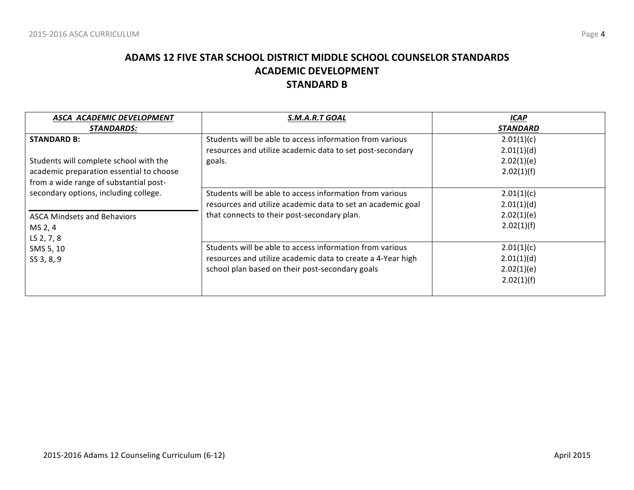### **ADAMS 12 FIVE STAR SCHOOL DISTRICT MIDDLE SCHOOL COUNSELOR STANDARDS ACADEMIC DEVELOPMENT STANDARD B**

| ASCA ACADEMIC DEVELOPMENT                | S.M.A.R.T GOAL                                              | <b>ICAP</b>     |
|------------------------------------------|-------------------------------------------------------------|-----------------|
| <b>STANDARDS:</b>                        |                                                             | <b>STANDARD</b> |
| <b>STANDARD B:</b>                       | Students will be able to access information from various    | 2.01(1)(c)      |
|                                          | resources and utilize academic data to set post-secondary   | 2.01(1)(d)      |
| Students will complete school with the   | goals.                                                      | 2.02(1)(e)      |
| academic preparation essential to choose |                                                             | 2.02(1)(f)      |
| from a wide range of substantial post-   |                                                             |                 |
| secondary options, including college.    | Students will be able to access information from various    | 2.01(1)(c)      |
|                                          | resources and utilize academic data to set an academic goal | 2.01(1)(d)      |
| <b>ASCA Mindsets and Behaviors</b>       | that connects to their post-secondary plan.                 | 2.02(1)(e)      |
| MS 2, 4                                  |                                                             | 2.02(1)(f)      |
| LS 2, 7, 8                               |                                                             |                 |
| SMS 5, 10                                | Students will be able to access information from various    | 2.01(1)(c)      |
| SS 3, 8, 9                               | resources and utilize academic data to create a 4-Year high | 2.01(1)(d)      |
|                                          | school plan based on their post-secondary goals             | 2.02(1)(e)      |
|                                          |                                                             | 2.02(1)(f)      |
|                                          |                                                             |                 |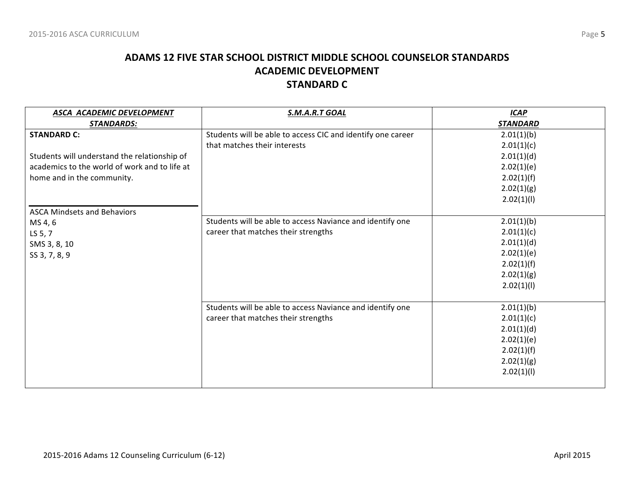### **ADAMS 12 FIVE STAR SCHOOL DISTRICT MIDDLE SCHOOL COUNSELOR STANDARDS ACADEMIC DEVELOPMENT STANDARD C**

| ASCA ACADEMIC DEVELOPMENT<br><b>STANDARDS:</b> | S.M.A.R.T GOAL                                              | <b>ICAP</b><br><b>STANDARD</b> |
|------------------------------------------------|-------------------------------------------------------------|--------------------------------|
| <b>STANDARD C:</b>                             | Students will be able to access CIC and identify one career | 2.01(1)(b)                     |
|                                                | that matches their interests                                | 2.01(1)(c)                     |
| Students will understand the relationship of   |                                                             | 2.01(1)(d)                     |
| academics to the world of work and to life at  |                                                             | 2.02(1)(e)                     |
| home and in the community.                     |                                                             | 2.02(1)(f)                     |
|                                                |                                                             | 2.02(1)(g)                     |
|                                                |                                                             | 2.02(1)(1)                     |
| <b>ASCA Mindsets and Behaviors</b>             |                                                             |                                |
| MS 4, 6                                        | Students will be able to access Naviance and identify one   | 2.01(1)(b)                     |
| LS 5, 7                                        | career that matches their strengths                         | 2.01(1)(c)                     |
| SMS 3, 8, 10                                   |                                                             | 2.01(1)(d)                     |
| SS 3, 7, 8, 9                                  |                                                             | 2.02(1)(e)                     |
|                                                |                                                             | 2.02(1)(f)                     |
|                                                |                                                             | 2.02(1)(g)                     |
|                                                |                                                             | 2.02(1)(1)                     |
|                                                |                                                             |                                |
|                                                | Students will be able to access Naviance and identify one   | 2.01(1)(b)                     |
|                                                | career that matches their strengths                         | 2.01(1)(c)                     |
|                                                |                                                             | 2.01(1)(d)                     |
|                                                |                                                             | 2.02(1)(e)                     |
|                                                |                                                             | 2.02(1)(f)                     |
|                                                |                                                             | 2.02(1)(g)                     |
|                                                |                                                             | 2.02(1)(1)                     |
|                                                |                                                             |                                |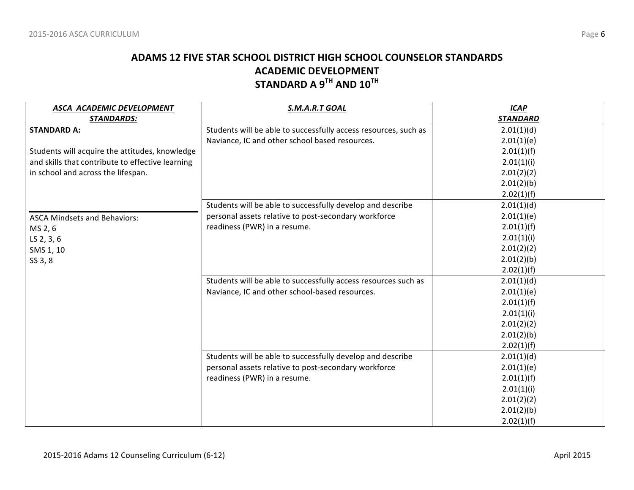### **ADAMS 12 FIVE STAR SCHOOL DISTRICT HIGH SCHOOL COUNSELOR STANDARDS ACADEMIC DEVELOPMENT STANDARD A 9TH AND 10TH**

| ASCA ACADEMIC DEVELOPMENT                        | S.M.A.R.T GOAL                                                  | <b>ICAP</b>     |
|--------------------------------------------------|-----------------------------------------------------------------|-----------------|
| <b>STANDARDS:</b>                                |                                                                 | <b>STANDARD</b> |
| <b>STANDARD A:</b>                               | Students will be able to successfully access resources, such as | 2.01(1)(d)      |
|                                                  | Naviance, IC and other school based resources.                  | 2.01(1)(e)      |
| Students will acquire the attitudes, knowledge   |                                                                 | 2.01(1)(f)      |
| and skills that contribute to effective learning |                                                                 | 2.01(1)(i)      |
| in school and across the lifespan.               |                                                                 | 2.01(2)(2)      |
|                                                  |                                                                 | 2.01(2)(b)      |
|                                                  |                                                                 | 2.02(1)(f)      |
|                                                  | Students will be able to successfully develop and describe      | 2.01(1)(d)      |
| <b>ASCA Mindsets and Behaviors:</b>              | personal assets relative to post-secondary workforce            | 2.01(1)(e)      |
| MS 2, 6                                          | readiness (PWR) in a resume.                                    | 2.01(1)(f)      |
| LS 2, 3, 6                                       |                                                                 | 2.01(1)(i)      |
| SMS 1, 10                                        |                                                                 | 2.01(2)(2)      |
| SS 3, 8                                          |                                                                 | 2.01(2)(b)      |
|                                                  |                                                                 | 2.02(1)(f)      |
|                                                  | Students will be able to successfully access resources such as  | 2.01(1)(d)      |
|                                                  | Naviance, IC and other school-based resources.                  | 2.01(1)(e)      |
|                                                  |                                                                 | 2.01(1)(f)      |
|                                                  |                                                                 | 2.01(1)(i)      |
|                                                  |                                                                 | 2.01(2)(2)      |
|                                                  |                                                                 | 2.01(2)(b)      |
|                                                  |                                                                 | 2.02(1)(f)      |
|                                                  | Students will be able to successfully develop and describe      | 2.01(1)(d)      |
|                                                  | personal assets relative to post-secondary workforce            | 2.01(1)(e)      |
|                                                  | readiness (PWR) in a resume.                                    | 2.01(1)(f)      |
|                                                  |                                                                 | 2.01(1)(i)      |
|                                                  |                                                                 | 2.01(2)(2)      |
|                                                  |                                                                 | 2.01(2)(b)      |
|                                                  |                                                                 | 2.02(1)(f)      |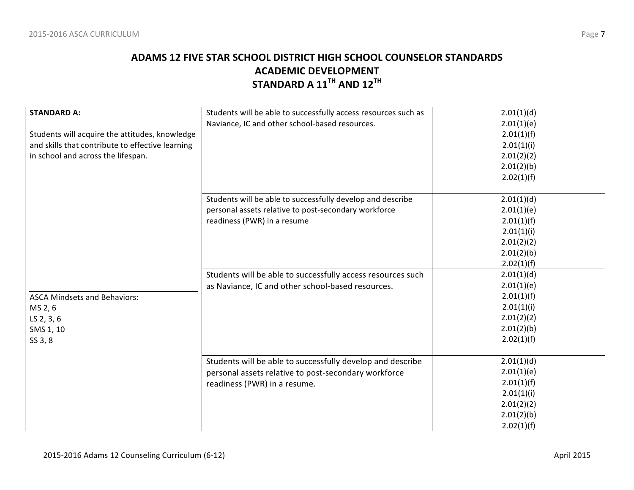### **ADAMS 12 FIVE STAR SCHOOL DISTRICT HIGH SCHOOL COUNSELOR STANDARDS ACADEMIC DEVELOPMENT STANDARD A 11TH AND 12TH**

| <b>STANDARD A:</b>                               | Students will be able to successfully access resources such as | 2.01(1)(d) |
|--------------------------------------------------|----------------------------------------------------------------|------------|
|                                                  | Naviance, IC and other school-based resources.                 | 2.01(1)(e) |
| Students will acquire the attitudes, knowledge   |                                                                | 2.01(1)(f) |
| and skills that contribute to effective learning |                                                                | 2.01(1)(i) |
| in school and across the lifespan.               |                                                                | 2.01(2)(2) |
|                                                  |                                                                | 2.01(2)(b) |
|                                                  |                                                                | 2.02(1)(f) |
|                                                  |                                                                |            |
|                                                  | Students will be able to successfully develop and describe     | 2.01(1)(d) |
|                                                  | personal assets relative to post-secondary workforce           | 2.01(1)(e) |
|                                                  | readiness (PWR) in a resume                                    | 2.01(1)(f) |
|                                                  |                                                                | 2.01(1)(i) |
|                                                  |                                                                | 2.01(2)(2) |
|                                                  |                                                                | 2.01(2)(b) |
|                                                  |                                                                | 2.02(1)(f) |
|                                                  | Students will be able to successfully access resources such    | 2.01(1)(d) |
|                                                  | as Naviance, IC and other school-based resources.              | 2.01(1)(e) |
| <b>ASCA Mindsets and Behaviors:</b>              |                                                                | 2.01(1)(f) |
| MS 2, 6                                          |                                                                | 2.01(1)(i) |
| LS 2, 3, 6                                       |                                                                | 2.01(2)(2) |
| SMS 1, 10                                        |                                                                | 2.01(2)(b) |
| SS 3, 8                                          |                                                                | 2.02(1)(f) |
|                                                  |                                                                |            |
|                                                  | Students will be able to successfully develop and describe     | 2.01(1)(d) |
|                                                  | personal assets relative to post-secondary workforce           | 2.01(1)(e) |
|                                                  | readiness (PWR) in a resume.                                   | 2.01(1)(f) |
|                                                  |                                                                | 2.01(1)(i) |
|                                                  |                                                                | 2.01(2)(2) |
|                                                  |                                                                | 2.01(2)(b) |
|                                                  |                                                                | 2.02(1)(f) |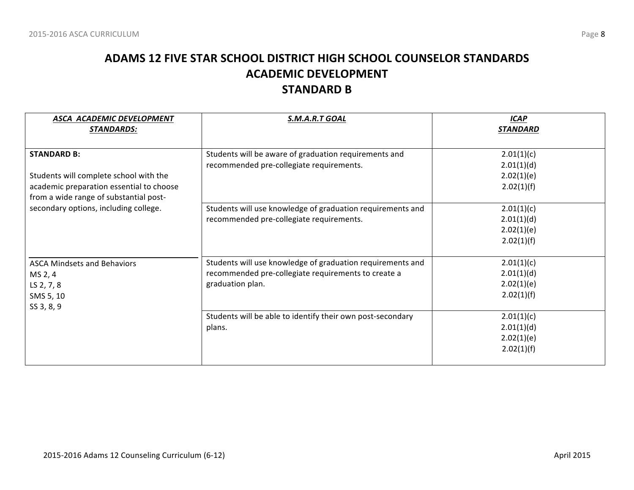## **ADAMS 12 FIVE STAR SCHOOL DISTRICT HIGH SCHOOL COUNSELOR STANDARDS ACADEMIC DEVELOPMENT STANDARD B**

| ASCA ACADEMIC DEVELOPMENT<br><b>STANDARDS:</b>                                                                                                     | S.M.A.R.T GOAL                                                                                                                        | <b>ICAP</b><br><b>STANDARD</b>                       |
|----------------------------------------------------------------------------------------------------------------------------------------------------|---------------------------------------------------------------------------------------------------------------------------------------|------------------------------------------------------|
| <b>STANDARD B:</b><br>Students will complete school with the<br>academic preparation essential to choose<br>from a wide range of substantial post- | Students will be aware of graduation requirements and<br>recommended pre-collegiate requirements.                                     | 2.01(1)(c)<br>2.01(1)(d)<br>2.02(1)(e)<br>2.02(1)(f) |
| secondary options, including college.                                                                                                              | Students will use knowledge of graduation requirements and<br>recommended pre-collegiate requirements.                                | 2.01(1)(c)<br>2.01(1)(d)<br>2.02(1)(e)<br>2.02(1)(f) |
| <b>ASCA Mindsets and Behaviors</b><br>MS 2, 4<br>LS 2, 7, 8<br>SMS 5, 10<br>SS 3, 8, 9                                                             | Students will use knowledge of graduation requirements and<br>recommended pre-collegiate requirements to create a<br>graduation plan. | 2.01(1)(c)<br>2.01(1)(d)<br>2.02(1)(e)<br>2.02(1)(f) |
|                                                                                                                                                    | Students will be able to identify their own post-secondary<br>plans.                                                                  | 2.01(1)(c)<br>2.01(1)(d)<br>2.02(1)(e)<br>2.02(1)(f) |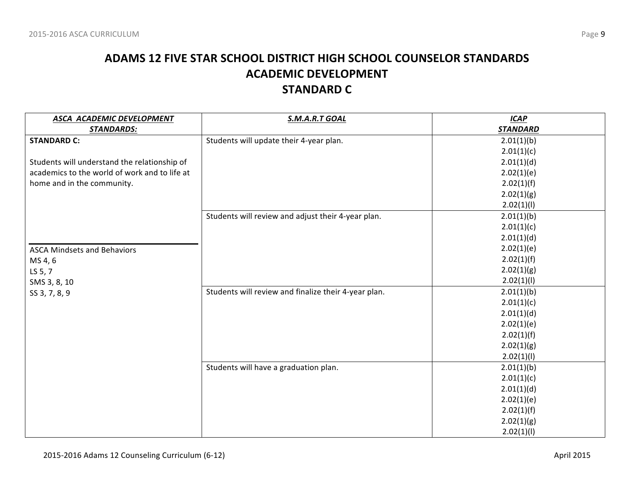## **ADAMS 12 FIVE STAR SCHOOL DISTRICT HIGH SCHOOL COUNSELOR STANDARDS ACADEMIC DEVELOPMENT STANDARD C**

| ASCA ACADEMIC DEVELOPMENT                     | S.M.A.R.T GOAL                                       | <b>ICAP</b>     |
|-----------------------------------------------|------------------------------------------------------|-----------------|
| <b>STANDARDS:</b>                             |                                                      | <b>STANDARD</b> |
| <b>STANDARD C:</b>                            | Students will update their 4-year plan.              | 2.01(1)(b)      |
|                                               |                                                      | 2.01(1)(c)      |
| Students will understand the relationship of  |                                                      | 2.01(1)(d)      |
| academics to the world of work and to life at |                                                      | 2.02(1)(e)      |
| home and in the community.                    |                                                      | 2.02(1)(f)      |
|                                               |                                                      | 2.02(1)(g)      |
|                                               |                                                      | 2.02(1)(1)      |
|                                               | Students will review and adjust their 4-year plan.   | 2.01(1)(b)      |
|                                               |                                                      | 2.01(1)(c)      |
|                                               |                                                      | 2.01(1)(d)      |
| <b>ASCA Mindsets and Behaviors</b>            |                                                      | 2.02(1)(e)      |
| MS 4, 6                                       |                                                      | 2.02(1)(f)      |
| LS 5, 7                                       |                                                      | 2.02(1)(g)      |
| SMS 3, 8, 10                                  |                                                      | 2.02(1)(1)      |
| SS 3, 7, 8, 9                                 | Students will review and finalize their 4-year plan. | 2.01(1)(b)      |
|                                               |                                                      | 2.01(1)(c)      |
|                                               |                                                      | 2.01(1)(d)      |
|                                               |                                                      | 2.02(1)(e)      |
|                                               |                                                      | 2.02(1)(f)      |
|                                               |                                                      | 2.02(1)(g)      |
|                                               |                                                      | 2.02(1)(1)      |
|                                               | Students will have a graduation plan.                | 2.01(1)(b)      |
|                                               |                                                      | 2.01(1)(c)      |
|                                               |                                                      | 2.01(1)(d)      |
|                                               |                                                      | 2.02(1)(e)      |
|                                               |                                                      | 2.02(1)(f)      |
|                                               |                                                      | 2.02(1)(g)      |
|                                               |                                                      | 2.02(1)(I)      |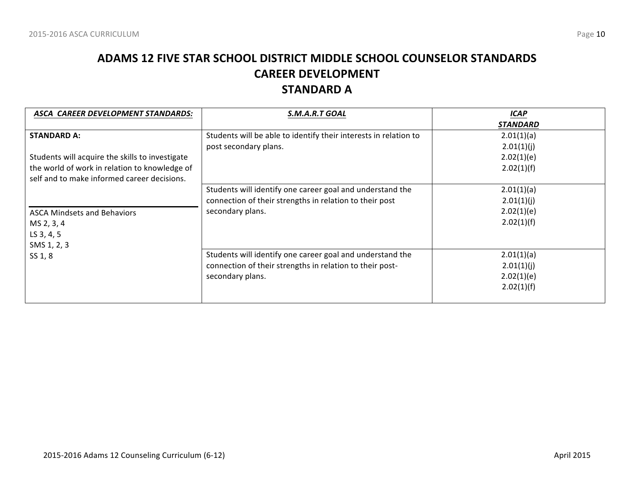## **ADAMS 12 FIVE STAR SCHOOL DISTRICT MIDDLE SCHOOL COUNSELOR STANDARDS CAREER DEVELOPMENT STANDARD A**

| ASCA CAREER DEVELOPMENT STANDARDS:              | S.M.A.R.T GOAL                                                   | <b>ICAP</b>     |
|-------------------------------------------------|------------------------------------------------------------------|-----------------|
|                                                 |                                                                  | <b>STANDARD</b> |
| <b>STANDARD A:</b>                              | Students will be able to identify their interests in relation to | 2.01(1)(a)      |
|                                                 | post secondary plans.                                            | 2.01(1)(j)      |
| Students will acquire the skills to investigate |                                                                  | 2.02(1)(e)      |
| the world of work in relation to knowledge of   |                                                                  | 2.02(1)(f)      |
| self and to make informed career decisions.     |                                                                  |                 |
|                                                 | Students will identify one career goal and understand the        | 2.01(1)(a)      |
|                                                 | connection of their strengths in relation to their post          | 2.01(1)(j)      |
| <b>ASCA Mindsets and Behaviors</b>              | secondary plans.                                                 | 2.02(1)(e)      |
| MS 2, 3, 4                                      |                                                                  | 2.02(1)(f)      |
| LS 3, 4, 5                                      |                                                                  |                 |
| SMS 1, 2, 3                                     |                                                                  |                 |
| SS 1, 8                                         | Students will identify one career goal and understand the        | 2.01(1)(a)      |
|                                                 | connection of their strengths in relation to their post-         | 2.01(1)(j)      |
|                                                 | secondary plans.                                                 | 2.02(1)(e)      |
|                                                 |                                                                  | 2.02(1)(f)      |
|                                                 |                                                                  |                 |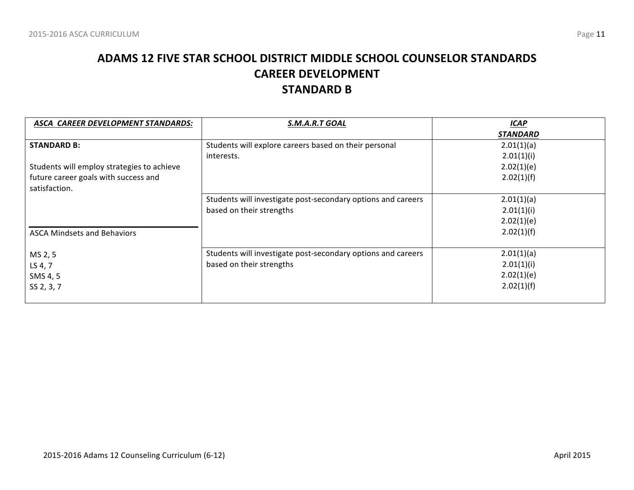## **ADAMS 12 FIVE STAR SCHOOL DISTRICT MIDDLE SCHOOL COUNSELOR STANDARDS CAREER DEVELOPMENT STANDARD B**

| ASCA CAREER DEVELOPMENT STANDARDS:         | S.M.A.R.T GOAL                                               | <b>ICAP</b>     |
|--------------------------------------------|--------------------------------------------------------------|-----------------|
|                                            |                                                              | <b>STANDARD</b> |
| <b>STANDARD B:</b>                         | Students will explore careers based on their personal        | 2.01(1)(a)      |
|                                            | interests.                                                   | 2.01(1)(i)      |
| Students will employ strategies to achieve |                                                              | 2.02(1)(e)      |
| future career goals with success and       |                                                              | 2.02(1)(f)      |
| satisfaction.                              |                                                              |                 |
|                                            | Students will investigate post-secondary options and careers | 2.01(1)(a)      |
|                                            | based on their strengths                                     | 2.01(1)(i)      |
|                                            |                                                              | 2.02(1)(e)      |
| <b>ASCA Mindsets and Behaviors</b>         |                                                              | 2.02(1)(f)      |
|                                            |                                                              |                 |
| MS 2, 5                                    | Students will investigate post-secondary options and careers | 2.01(1)(a)      |
| LS 4, 7                                    | based on their strengths                                     | 2.01(1)(i)      |
| SMS 4, 5                                   |                                                              | 2.02(1)(e)      |
| SS 2, 3, 7                                 |                                                              | 2.02(1)(f)      |
|                                            |                                                              |                 |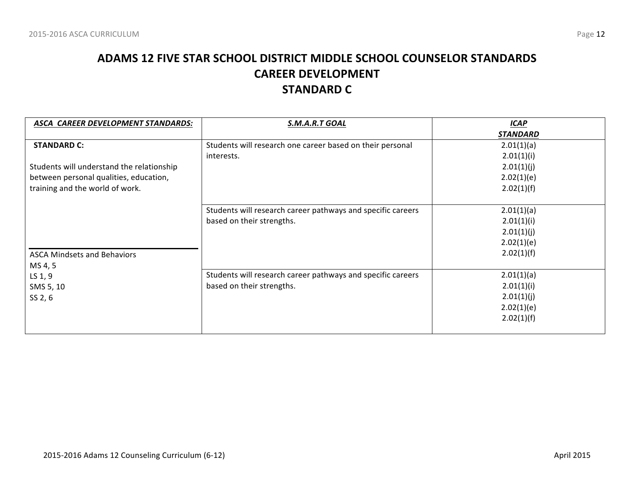## **ADAMS 12 FIVE STAR SCHOOL DISTRICT MIDDLE SCHOOL COUNSELOR STANDARDS CAREER DEVELOPMENT STANDARD C**

| <b>ASCA CAREER DEVELOPMENT STANDARDS:</b> | S.M.A.R.T GOAL                                              | <b>ICAP</b>     |
|-------------------------------------------|-------------------------------------------------------------|-----------------|
|                                           |                                                             | <b>STANDARD</b> |
| <b>STANDARD C:</b>                        | Students will research one career based on their personal   | 2.01(1)(a)      |
|                                           | interests.                                                  | 2.01(1)(i)      |
| Students will understand the relationship |                                                             | 2.01(1)(j)      |
| between personal qualities, education,    |                                                             | 2.02(1)(e)      |
| training and the world of work.           |                                                             | 2.02(1)(f)      |
|                                           |                                                             |                 |
|                                           | Students will research career pathways and specific careers | 2.01(1)(a)      |
|                                           | based on their strengths.                                   | 2.01(1)(i)      |
|                                           |                                                             | 2.01(1)(j)      |
|                                           |                                                             | 2.02(1)(e)      |
| <b>ASCA Mindsets and Behaviors</b>        |                                                             | 2.02(1)(f)      |
| MS 4, 5                                   |                                                             |                 |
| LS $1, 9$                                 | Students will research career pathways and specific careers | 2.01(1)(a)      |
| SMS 5, 10                                 | based on their strengths.                                   | 2.01(1)(i)      |
| SS 2, 6                                   |                                                             | 2.01(1)(j)      |
|                                           |                                                             | 2.02(1)(e)      |
|                                           |                                                             | 2.02(1)(f)      |
|                                           |                                                             |                 |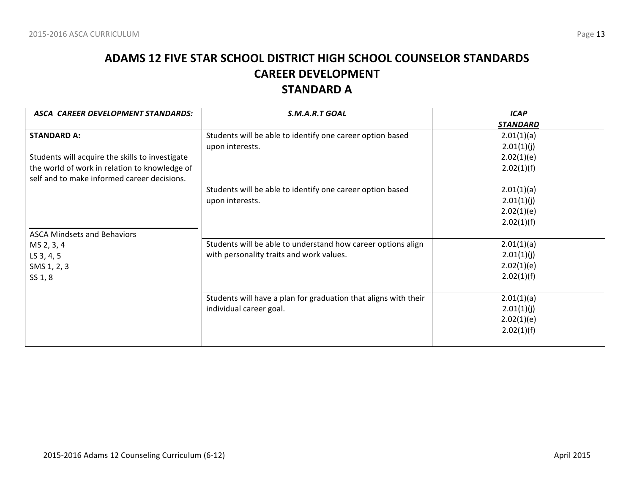## **ADAMS 12 FIVE STAR SCHOOL DISTRICT HIGH SCHOOL COUNSELOR STANDARDS CAREER DEVELOPMENT STANDARD A**

| ASCA CAREER DEVELOPMENT STANDARDS:              | S.M.A.R.T GOAL                                                  | <b>ICAP</b>     |
|-------------------------------------------------|-----------------------------------------------------------------|-----------------|
|                                                 |                                                                 | <b>STANDARD</b> |
| <b>STANDARD A:</b>                              | Students will be able to identify one career option based       | 2.01(1)(a)      |
|                                                 | upon interests.                                                 | 2.01(1)(j)      |
| Students will acquire the skills to investigate |                                                                 | 2.02(1)(e)      |
| the world of work in relation to knowledge of   |                                                                 | 2.02(1)(f)      |
| self and to make informed career decisions.     |                                                                 |                 |
|                                                 | Students will be able to identify one career option based       | 2.01(1)(a)      |
|                                                 | upon interests.                                                 | 2.01(1)(j)      |
|                                                 |                                                                 | 2.02(1)(e)      |
|                                                 |                                                                 | 2.02(1)(f)      |
| <b>ASCA Mindsets and Behaviors</b>              |                                                                 |                 |
| MS 2, 3, 4                                      | Students will be able to understand how career options align    | 2.01(1)(a)      |
| LS 3, 4, 5                                      | with personality traits and work values.                        | 2.01(1)(j)      |
| SMS 1, 2, 3                                     |                                                                 | 2.02(1)(e)      |
| SS 1, 8                                         |                                                                 | 2.02(1)(f)      |
|                                                 |                                                                 |                 |
|                                                 | Students will have a plan for graduation that aligns with their | 2.01(1)(a)      |
|                                                 | individual career goal.                                         | 2.01(1)(j)      |
|                                                 |                                                                 | 2.02(1)(e)      |
|                                                 |                                                                 | 2.02(1)(f)      |
|                                                 |                                                                 |                 |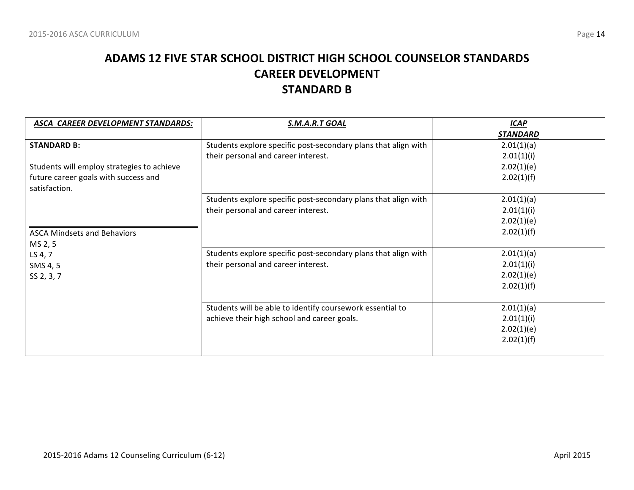## **ADAMS 12 FIVE STAR SCHOOL DISTRICT HIGH SCHOOL COUNSELOR STANDARDS CAREER DEVELOPMENT STANDARD B**

| ASCA CAREER DEVELOPMENT STANDARDS:         | S.M.A.R.T GOAL                                                 | <b>ICAP</b>     |
|--------------------------------------------|----------------------------------------------------------------|-----------------|
|                                            |                                                                | <b>STANDARD</b> |
| <b>STANDARD B:</b>                         | Students explore specific post-secondary plans that align with | 2.01(1)(a)      |
|                                            | their personal and career interest.                            | 2.01(1)(i)      |
| Students will employ strategies to achieve |                                                                | 2.02(1)(e)      |
| future career goals with success and       |                                                                | 2.02(1)(f)      |
| satisfaction.                              |                                                                |                 |
|                                            | Students explore specific post-secondary plans that align with | 2.01(1)(a)      |
|                                            | their personal and career interest.                            | 2.01(1)(i)      |
|                                            |                                                                | 2.02(1)(e)      |
| <b>ASCA Mindsets and Behaviors</b>         |                                                                | 2.02(1)(f)      |
| MS 2, 5                                    |                                                                |                 |
| LS 4, 7                                    | Students explore specific post-secondary plans that align with | 2.01(1)(a)      |
| SMS 4, 5                                   | their personal and career interest.                            | 2.01(1)(i)      |
| SS 2, 3, 7                                 |                                                                | 2.02(1)(e)      |
|                                            |                                                                | 2.02(1)(f)      |
|                                            |                                                                |                 |
|                                            | Students will be able to identify coursework essential to      | 2.01(1)(a)      |
|                                            | achieve their high school and career goals.                    | 2.01(1)(i)      |
|                                            |                                                                | 2.02(1)(e)      |
|                                            |                                                                | 2.02(1)(f)      |
|                                            |                                                                |                 |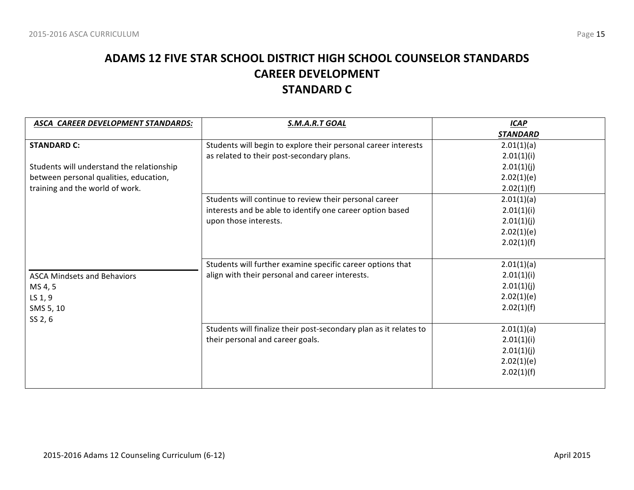## **ADAMS 12 FIVE STAR SCHOOL DISTRICT HIGH SCHOOL COUNSELOR STANDARDS CAREER DEVELOPMENT STANDARD C**

| ASCA CAREER DEVELOPMENT STANDARDS:        | S.M.A.R.T GOAL                                                    | <b>ICAP</b>     |
|-------------------------------------------|-------------------------------------------------------------------|-----------------|
|                                           |                                                                   | <b>STANDARD</b> |
| <b>STANDARD C:</b>                        | Students will begin to explore their personal career interests    | 2.01(1)(a)      |
|                                           | as related to their post-secondary plans.                         | 2.01(1)(i)      |
| Students will understand the relationship |                                                                   | 2.01(1)(j)      |
| between personal qualities, education,    |                                                                   | 2.02(1)(e)      |
| training and the world of work.           |                                                                   | 2.02(1)(f)      |
|                                           | Students will continue to review their personal career            | 2.01(1)(a)      |
|                                           | interests and be able to identify one career option based         | 2.01(1)(i)      |
|                                           | upon those interests.                                             | 2.01(1)(j)      |
|                                           |                                                                   | 2.02(1)(e)      |
|                                           |                                                                   | 2.02(1)(f)      |
|                                           |                                                                   |                 |
|                                           | Students will further examine specific career options that        | 2.01(1)(a)      |
| <b>ASCA Mindsets and Behaviors</b>        | align with their personal and career interests.                   | 2.01(1)(i)      |
| MS 4, 5                                   |                                                                   | 2.01(1)(j)      |
| LS 1, 9                                   |                                                                   | 2.02(1)(e)      |
| SMS 5, 10                                 |                                                                   | 2.02(1)(f)      |
| SS 2, 6                                   |                                                                   |                 |
|                                           | Students will finalize their post-secondary plan as it relates to | 2.01(1)(a)      |
|                                           | their personal and career goals.                                  | 2.01(1)(i)      |
|                                           |                                                                   | 2.01(1)(j)      |
|                                           |                                                                   | 2.02(1)(e)      |
|                                           |                                                                   | 2.02(1)(f)      |
|                                           |                                                                   |                 |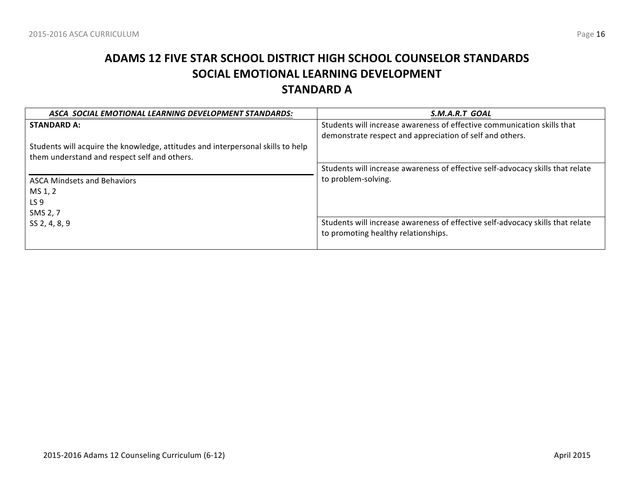# **ADAMS 12 FIVE STAR SCHOOL DISTRICT HIGH SCHOOL COUNSELOR STANDARDS SOCIAL EMOTIONAL LEARNING DEVELOPMENT STANDARD A**

| ASCA SOCIAL EMOTIONAL LEARNING DEVELOPMENT STANDARDS:                           | S.M.A.R.T GOAL                                                                 |
|---------------------------------------------------------------------------------|--------------------------------------------------------------------------------|
| <b>STANDARD A:</b>                                                              | Students will increase awareness of effective communication skills that        |
|                                                                                 | demonstrate respect and appreciation of self and others.                       |
| Students will acquire the knowledge, attitudes and interpersonal skills to help |                                                                                |
| them understand and respect self and others.                                    |                                                                                |
|                                                                                 | Students will increase awareness of effective self-advocacy skills that relate |
| <b>ASCA Mindsets and Behaviors</b>                                              | to problem-solving.                                                            |
| MS 1, 2                                                                         |                                                                                |
| LS <sub>9</sub>                                                                 |                                                                                |
| SMS 2, 7                                                                        |                                                                                |
| SS 2, 4, 8, 9                                                                   | Students will increase awareness of effective self-advocacy skills that relate |
|                                                                                 | to promoting healthy relationships.                                            |
|                                                                                 |                                                                                |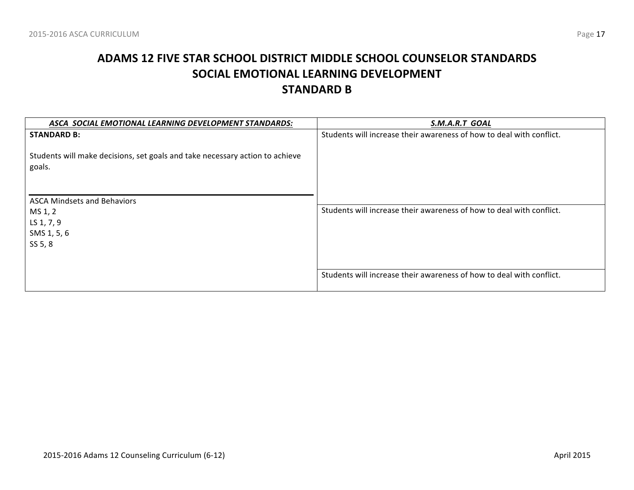# **ADAMS 12 FIVE STAR SCHOOL DISTRICT MIDDLE SCHOOL COUNSELOR STANDARDS SOCIAL EMOTIONAL LEARNING DEVELOPMENT STANDARD B**

| ASCA SOCIAL EMOTIONAL LEARNING DEVELOPMENT STANDARDS:                                  | S.M.A.R.T GOAL                                                       |
|----------------------------------------------------------------------------------------|----------------------------------------------------------------------|
| <b>STANDARD B:</b>                                                                     | Students will increase their awareness of how to deal with conflict. |
| Students will make decisions, set goals and take necessary action to achieve<br>goals. |                                                                      |
| <b>ASCA Mindsets and Behaviors</b>                                                     |                                                                      |
| MS 1, 2                                                                                | Students will increase their awareness of how to deal with conflict. |
| LS 1, 7, 9                                                                             |                                                                      |
| SMS 1, 5, 6                                                                            |                                                                      |
| SS 5, 8                                                                                |                                                                      |
|                                                                                        | Students will increase their awareness of how to deal with conflict. |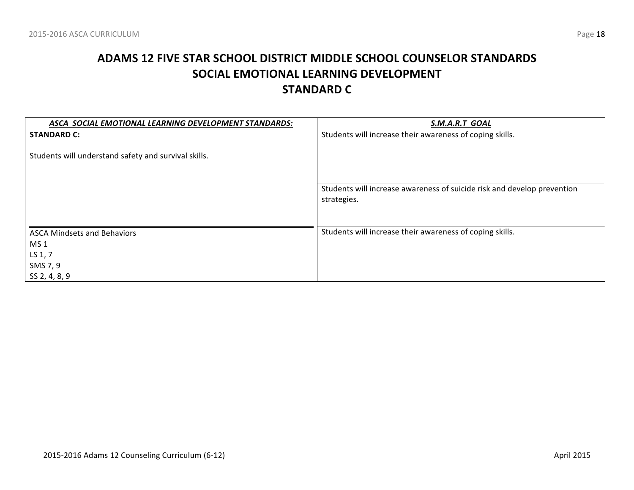# **ADAMS 12 FIVE STAR SCHOOL DISTRICT MIDDLE SCHOOL COUNSELOR STANDARDS SOCIAL EMOTIONAL LEARNING DEVELOPMENT STANDARD C**

| S.M.A.R.T GOAL                                                          |
|-------------------------------------------------------------------------|
| Students will increase their awareness of coping skills.                |
|                                                                         |
|                                                                         |
|                                                                         |
|                                                                         |
| Students will increase awareness of suicide risk and develop prevention |
| strategies.                                                             |
|                                                                         |
| Students will increase their awareness of coping skills.                |
|                                                                         |
|                                                                         |
|                                                                         |
|                                                                         |
|                                                                         |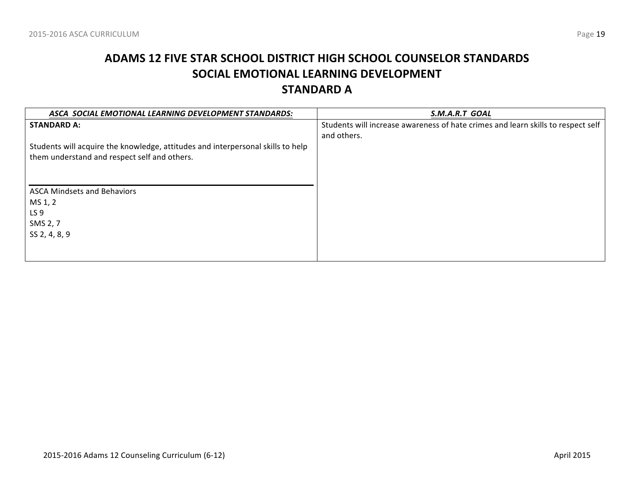# **ADAMS 12 FIVE STAR SCHOOL DISTRICT HIGH SCHOOL COUNSELOR STANDARDS SOCIAL EMOTIONAL LEARNING DEVELOPMENT STANDARD A**

| ASCA SOCIAL EMOTIONAL LEARNING DEVELOPMENT STANDARDS:                           | S.M.A.R.T GOAL                                                                   |
|---------------------------------------------------------------------------------|----------------------------------------------------------------------------------|
| <b>STANDARD A:</b>                                                              | Students will increase awareness of hate crimes and learn skills to respect self |
|                                                                                 | and others.                                                                      |
| Students will acquire the knowledge, attitudes and interpersonal skills to help |                                                                                  |
| them understand and respect self and others.                                    |                                                                                  |
|                                                                                 |                                                                                  |
|                                                                                 |                                                                                  |
| <b>ASCA Mindsets and Behaviors</b>                                              |                                                                                  |
| MS 1, 2                                                                         |                                                                                  |
| LS 9                                                                            |                                                                                  |
| SMS 2, 7                                                                        |                                                                                  |
| SS 2, 4, 8, 9                                                                   |                                                                                  |
|                                                                                 |                                                                                  |
|                                                                                 |                                                                                  |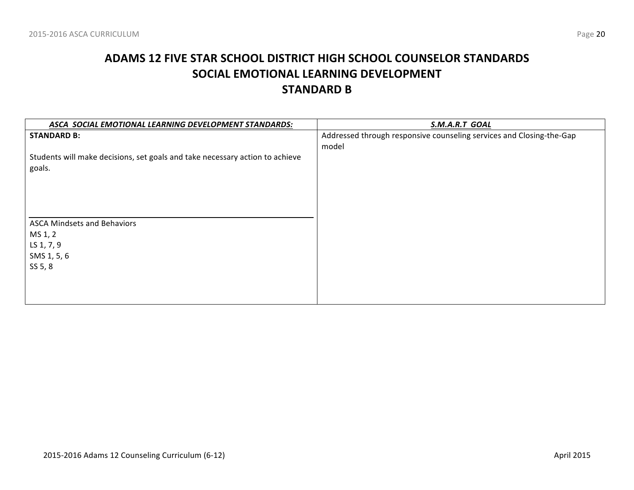# **ADAMS 12 FIVE STAR SCHOOL DISTRICT HIGH SCHOOL COUNSELOR STANDARDS SOCIAL EMOTIONAL LEARNING DEVELOPMENT STANDARD B**

| ASCA SOCIAL EMOTIONAL LEARNING DEVELOPMENT STANDARDS:                        | S.M.A.R.T GOAL                                                       |
|------------------------------------------------------------------------------|----------------------------------------------------------------------|
| <b>STANDARD B:</b>                                                           | Addressed through responsive counseling services and Closing-the-Gap |
|                                                                              | model                                                                |
| Students will make decisions, set goals and take necessary action to achieve |                                                                      |
| goals.                                                                       |                                                                      |
|                                                                              |                                                                      |
|                                                                              |                                                                      |
|                                                                              |                                                                      |
|                                                                              |                                                                      |
| <b>ASCA Mindsets and Behaviors</b>                                           |                                                                      |
| MS 1, 2                                                                      |                                                                      |
| LS 1, 7, 9                                                                   |                                                                      |
| SMS 1, 5, 6                                                                  |                                                                      |
| SS 5, 8                                                                      |                                                                      |
|                                                                              |                                                                      |
|                                                                              |                                                                      |
|                                                                              |                                                                      |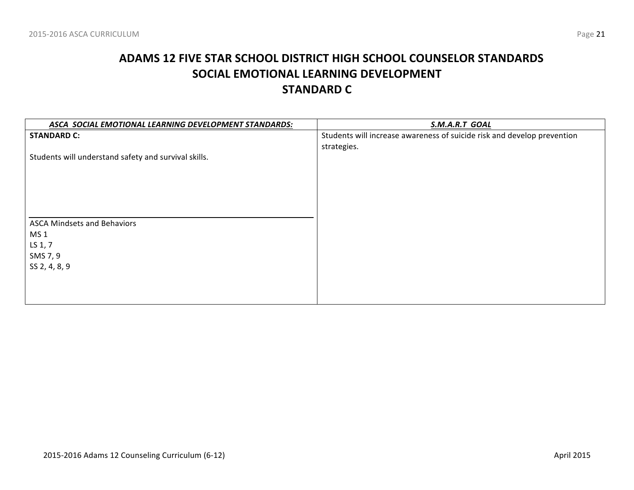# **ADAMS 12 FIVE STAR SCHOOL DISTRICT HIGH SCHOOL COUNSELOR STANDARDS SOCIAL EMOTIONAL LEARNING DEVELOPMENT STANDARD C**

| ASCA SOCIAL EMOTIONAL LEARNING DEVELOPMENT STANDARDS: | S.M.A.R.T GOAL                                                          |
|-------------------------------------------------------|-------------------------------------------------------------------------|
| <b>STANDARD C:</b>                                    | Students will increase awareness of suicide risk and develop prevention |
|                                                       | strategies.                                                             |
| Students will understand safety and survival skills.  |                                                                         |
|                                                       |                                                                         |
|                                                       |                                                                         |
|                                                       |                                                                         |
|                                                       |                                                                         |
|                                                       |                                                                         |
| <b>ASCA Mindsets and Behaviors</b>                    |                                                                         |
| MS <sub>1</sub>                                       |                                                                         |
| LS 1, 7                                               |                                                                         |
| SMS 7, 9                                              |                                                                         |
| SS 2, 4, 8, 9                                         |                                                                         |
|                                                       |                                                                         |
|                                                       |                                                                         |
|                                                       |                                                                         |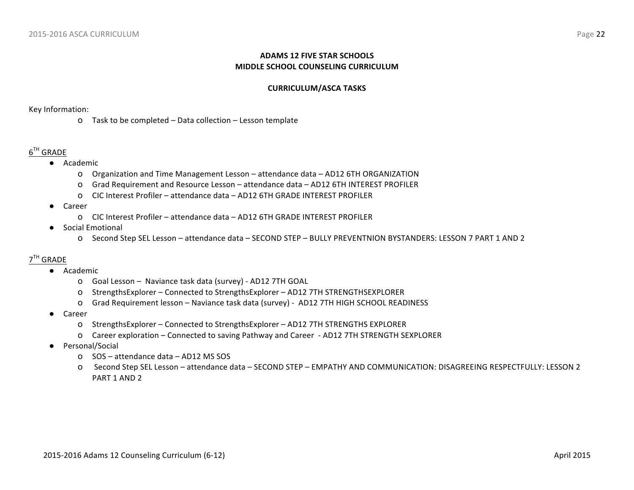#### **ADAMS 12 FIVE STAR SCHOOLS MIDDLE SCHOOL COUNSELING CURRICULUM**

#### **CURRICULUM/ASCA TASKS**

Key Information: 

o Task to be completed - Data collection - Lesson template

#### $6^{TH}$  GRADE

- Academic
	- o Organization and Time Management Lesson attendance data AD12 6TH ORGANIZATION
	- O Grad Requirement and Resource Lesson attendance data AD12 6TH INTEREST PROFILER
	- o CIC Interest Profiler – attendance data – AD12 6TH GRADE INTEREST PROFILER
- Career
	- o CIC Interest Profiler – attendance data – AD12 6TH GRADE INTEREST PROFILER
- Social Emotional
	- O Second Step SEL Lesson attendance data SECOND STEP BULLY PREVENTNION BYSTANDERS: LESSON 7 PART 1 AND 2

#### 7TH GRADE

- Academic
	- O Goal Lesson Naviance task data (survey) AD12 7TH GOAL
	- o StrengthsExplorer Connected to StrengthsExplorer AD12 7TH STRENGTHSEXPLORER
	- O Grad Requirement lesson Naviance task data (survey) AD12 7TH HIGH SCHOOL READINESS
- **Career** 
	- o StrengthsExplorer Connected to StrengthsExplorer AD12 7TH STRENGTHS EXPLORER
	- O Career exploration Connected to saving Pathway and Career AD12 7TH STRENGTH SEXPLORER
- Personal/Social
	- o SOS attendance data AD12 MS SOS
	- o Second Step SEL Lesson attendance data SECOND STEP EMPATHY AND COMMUNICATION: DISAGREEING RESPECTFULLY: LESSON 2 PART 1 AND 2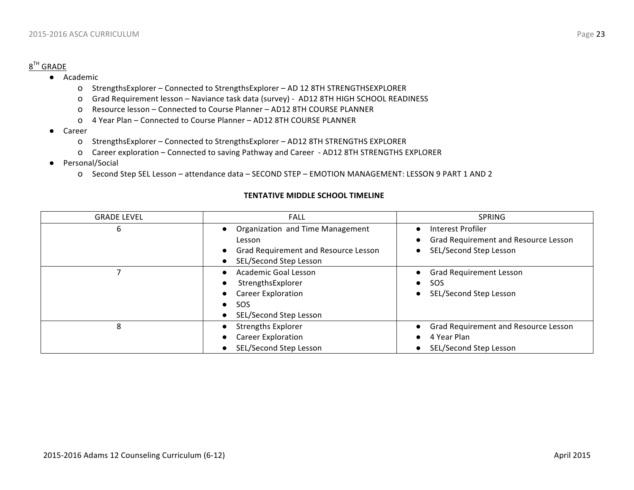#### $8^{TH}$  GRADE

- Academic
	- o StrengthsExplorer Connected to StrengthsExplorer AD 12 8TH STRENGTHSEXPLORER
	- o Grad Requirement lesson Naviance task data (survey) AD12 8TH HIGH SCHOOL READINESS
	- o Resource lesson Connected to Course Planner AD12 8TH COURSE PLANNER
	- o 4 Year Plan – Connected to Course Planner – AD12 8TH COURSE PLANNER
- Career
	- o StrengthsExplorer Connected to StrengthsExplorer AD12 8TH STRENGTHS EXPLORER
	- O Career exploration Connected to saving Pathway and Career AD12 8TH STRENGTHS EXPLORER
- Personal/Social
	- o Second Step SEL Lesson attendance data SECOND STEP EMOTION MANAGEMENT: LESSON 9 PART 1 AND 2

#### **TENTATIVE MIDDLE SCHOOL TIMELINE**

| <b>GRADE LEVEL</b> | <b>FALL</b>                                                    | <b>SPRING</b>                                             |
|--------------------|----------------------------------------------------------------|-----------------------------------------------------------|
| 6                  | Organization and Time Management<br>Lesson                     | Interest Profiler<br>Grad Requirement and Resource Lesson |
|                    |                                                                |                                                           |
|                    | Grad Requirement and Resource Lesson<br>SEL/Second Step Lesson | SEL/Second Step Lesson                                    |
|                    | <b>Academic Goal Lesson</b>                                    | <b>Grad Requirement Lesson</b>                            |
|                    | StrengthsExplorer                                              | SOS<br>$\bullet$                                          |
|                    | <b>Career Exploration</b>                                      | SEL/Second Step Lesson                                    |
|                    | <b>SOS</b><br>$\bullet$                                        |                                                           |
|                    | SEL/Second Step Lesson                                         |                                                           |
| 8                  | <b>Strengths Explorer</b>                                      | Grad Requirement and Resource Lesson                      |
|                    | <b>Career Exploration</b>                                      | 4 Year Plan                                               |
|                    | SEL/Second Step Lesson                                         | SEL/Second Step Lesson                                    |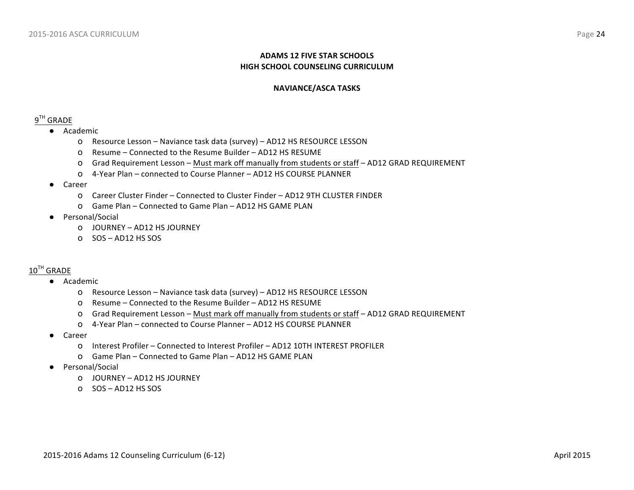#### **ADAMS 12 FIVE STAR SCHOOLS HIGH SCHOOL COUNSELING CURRICULUM**

#### **NAVIANCE/ASCA TASKS**

#### $9^{TH}$  GRADE

- Academic
	- O Resource Lesson Naviance task data (survey) AD12 HS RESOURCE LESSON
	- o Resume Connected to the Resume Builder AD12 HS RESUME
	- O Grad Requirement Lesson Must mark off manually from students or staff AD12 GRAD REQUIREMENT
	- o 4-Year Plan connected to Course Planner AD12 HS COURSE PLANNER
- Career
	- o Career Cluster Finder – Connected to Cluster Finder AD12 9TH CLUSTER FINDER
	- O Game Plan Connected to Game Plan AD12 HS GAME PLAN
- Personal/Social
	- o JOURNEY AD12 HS JOURNEY
	- $O$  SOS AD12 HS SOS

#### $10^{TH}$  GRADE

- Academic
	- O Resource Lesson Naviance task data (survey) AD12 HS RESOURCE LESSON
	- O Resume Connected to the Resume Builder AD12 HS RESUME
	- O Grad Requirement Lesson Must mark off manually from students or staff AD12 GRAD REQUIREMENT
	- O 4-Year Plan connected to Course Planner AD12 HS COURSE PLANNER
- Career
	- O Interest Profiler Connected to Interest Profiler AD12 10TH INTEREST PROFILER
	- O Game Plan Connected to Game Plan AD12 HS GAME PLAN
- Personal/Social
	- O JOURNEY AD12 HS JOURNEY
	- $O$  SOS AD12 HS SOS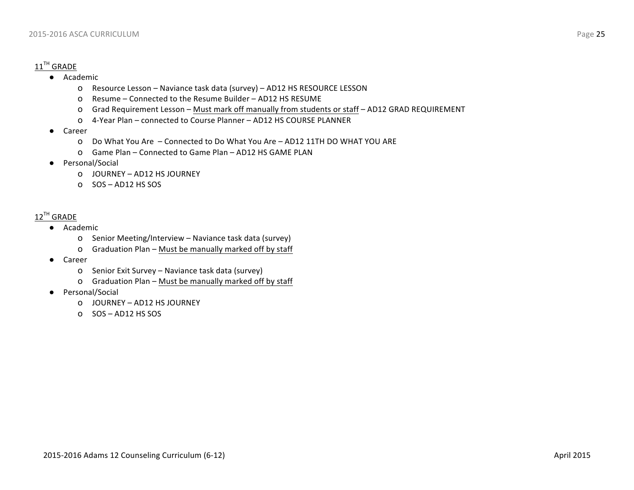### $11^{\text{TH}}$  GRADE

- Academic
	- o Resource Lesson Naviance task data (survey) AD12 HS RESOURCE LESSON
	- o Resume Connected to the Resume Builder AD12 HS RESUME
	- o Grad Requirement Lesson Must mark off manually from students or staff AD12 GRAD REQUIREMENT
	- o 4-Year Plan – connected to Course Planner – AD12 HS COURSE PLANNER
- Career
	- O Do What You Are Connected to Do What You Are AD12 11TH DO WHAT YOU ARE
	- O Game Plan Connected to Game Plan AD12 HS GAME PLAN
- Personal/Social
	- O JOURNEY AD12 HS JOURNEY
	- $O$  SOS AD12 HS SOS

#### $12^{TH}$  GRADE

- Academic
	- o Senior Meeting/Interview Naviance task data (survey)
	- o Graduation Plan Must be manually marked off by staff
- Career
	- o Senior Exit Survey Naviance task data (survey)
	- o Graduation Plan Must be manually marked off by staff
- Personal/Social
	- O JOURNEY AD12 HS JOURNEY
	- o SOS – AD12 HS SOS